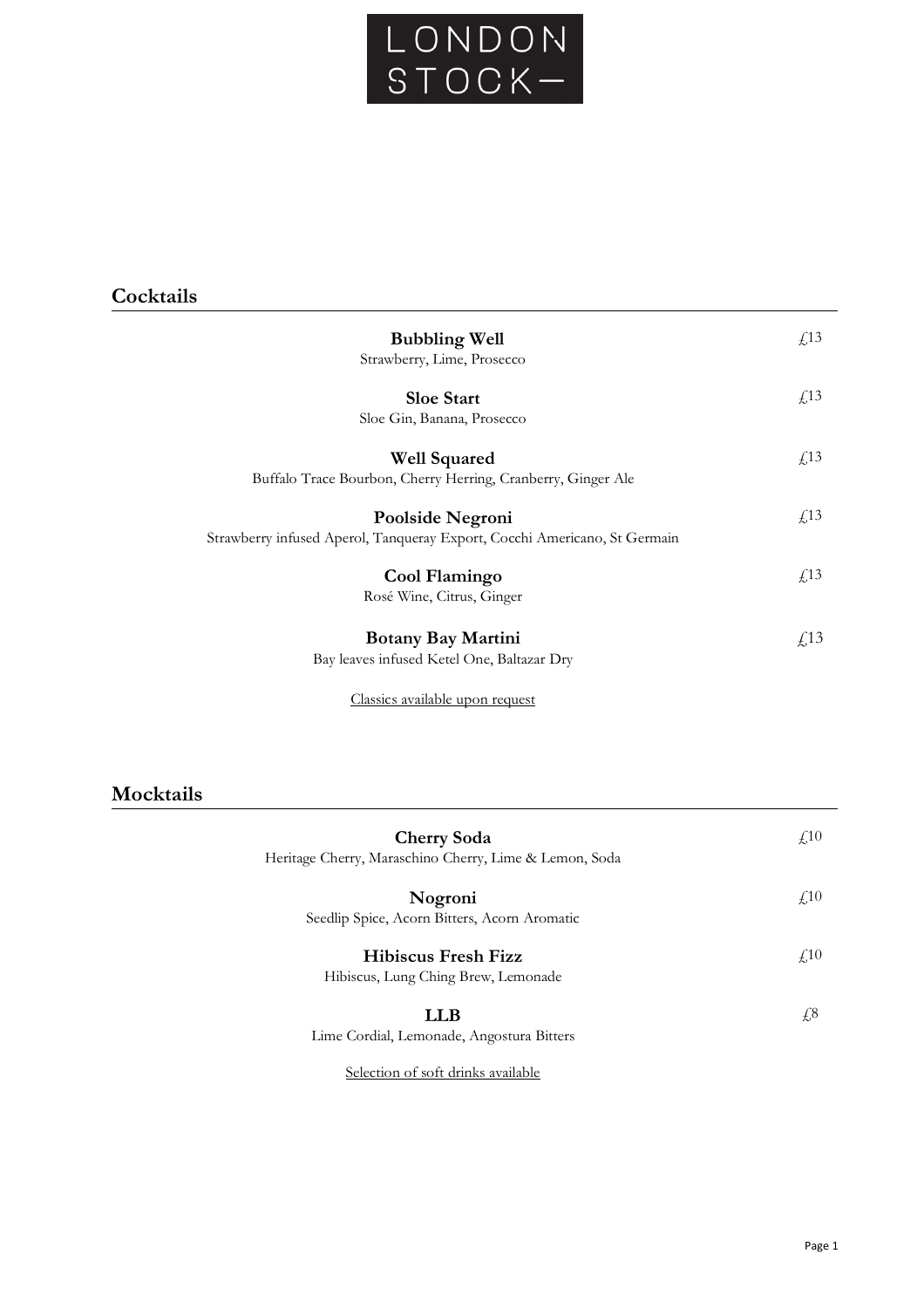

| <b>Bubbling Well</b><br>Strawberry, Lime, Prosecco                                            | f <sub>13</sub> |
|-----------------------------------------------------------------------------------------------|-----------------|
| <b>Sloe Start</b><br>Sloe Gin, Banana, Prosecco                                               | f <sub>13</sub> |
| <b>Well Squared</b><br>Buffalo Trace Bourbon, Cherry Herring, Cranberry, Ginger Ale           | f <sub>13</sub> |
| Poolside Negroni<br>Strawberry infused Aperol, Tanqueray Export, Cocchi Americano, St Germain | f <sub>13</sub> |
| Cool Flamingo<br>Rosé Wine, Citrus, Ginger                                                    | f <sub>13</sub> |
| <b>Botany Bay Martini</b><br>Bay leaves infused Ketel One, Baltazar Dry                       | $\sqrt{13}$     |

Classics available upon request

# **Mocktails**

| <b>Cherry Soda</b><br>Heritage Cherry, Maraschino Cherry, Lime & Lemon, Soda | f <sub>10</sub> |
|------------------------------------------------------------------------------|-----------------|
| Nogroni<br>Seedlip Spice, Acorn Bitters, Acorn Aromatic                      | f <sub>10</sub> |
| Hibiscus Fresh Fizz<br>Hibiscus, Lung Ching Brew, Lemonade                   | $\sqrt{10}$     |
| LLB<br>Lime Cordial, Lemonade, Angostura Bitters                             | £8              |
|                                                                              |                 |

Selection of soft drinks available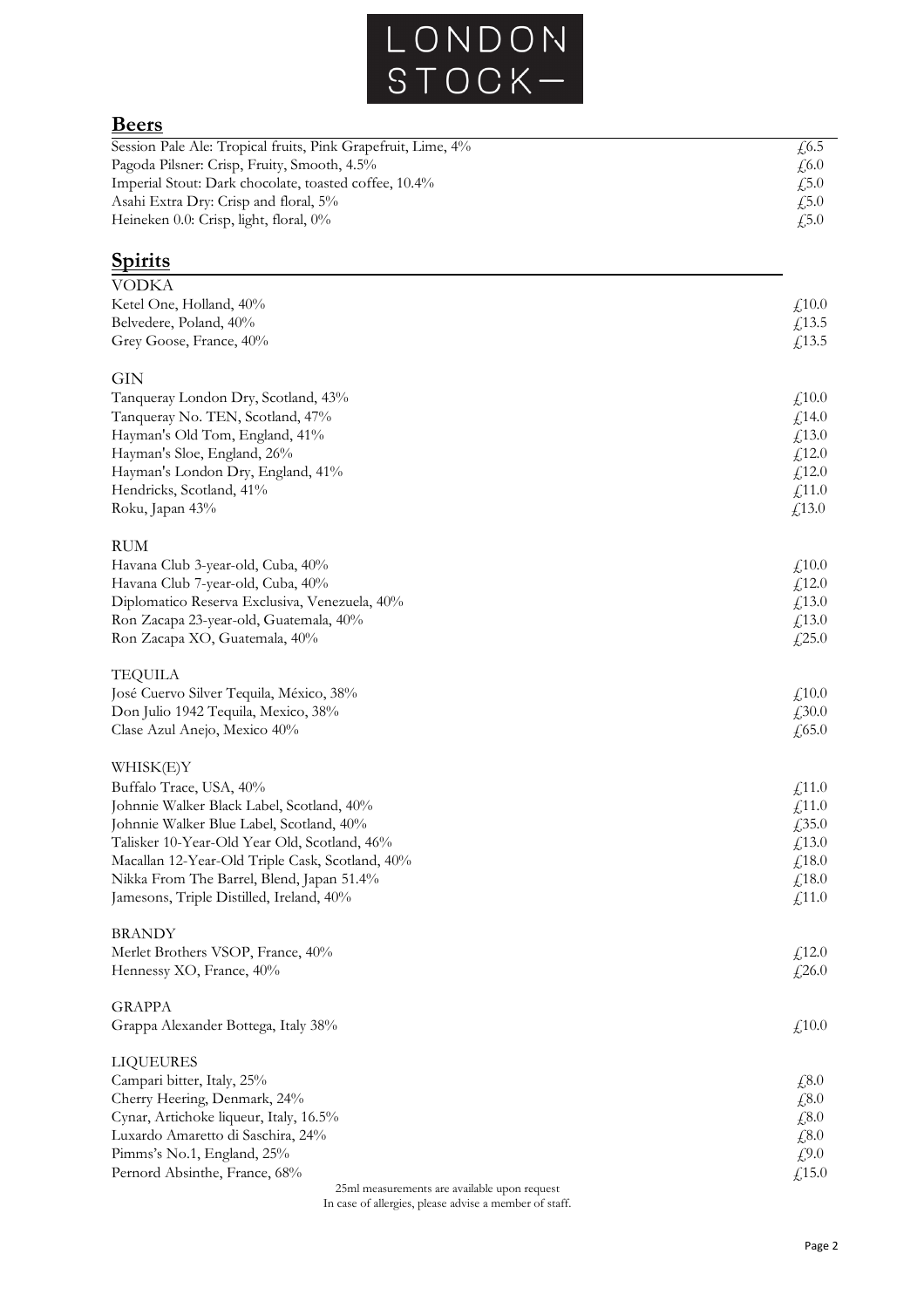

# **Beers**

| $\sqrt{6.5}$ |
|--------------|
| $\sqrt{6.0}$ |
| 4.5.0        |
| $\sqrt{5.0}$ |
| £5.0         |
|              |

# **Spirits**

| <b>VODKA</b>                                    |                            |
|-------------------------------------------------|----------------------------|
| Ketel One, Holland, 40%                         | £,10.0                     |
| Belvedere, Poland, 40%                          | £13.5                      |
| Grey Goose, France, 40%                         | £13.5                      |
| GIN                                             |                            |
| Tanqueray London Dry, Scotland, 43%             | £,10.0                     |
| Tanqueray No. TEN, Scotland, 47%                | £14.0                      |
| Hayman's Old Tom, England, 41%                  | f(13.0)                    |
| Hayman's Sloe, England, 26%                     | £12.0                      |
| Hayman's London Dry, England, 41%               | $f_{12.0}$                 |
| Hendricks, Scotland, 41%                        | £11.0                      |
| Roku, Japan 43%                                 | £13.0                      |
| RUM                                             |                            |
| Havana Club 3-year-old, Cuba, 40%               | £,10.0                     |
| Havana Club 7-year-old, Cuba, 40%               | £12.0                      |
| Diplomatico Reserva Exclusiva, Venezuela, 40%   | £13.0                      |
| Ron Zacapa 23-year-old, Guatemala, 40%          | £13.0                      |
| Ron Zacapa XO, Guatemala, 40%                   | £25.0                      |
| TEQUILA                                         |                            |
| José Cuervo Silver Tequila, México, 38%         | £,10.0                     |
| Don Julio 1942 Tequila, Mexico, 38%             | £30.0                      |
| Clase Azul Anejo, Mexico 40%                    | $\text{\textsterling}65.0$ |
| WHISK(E)Y                                       |                            |
| Buffalo Trace, USA, 40%                         | f(11.0)                    |
| Johnnie Walker Black Label, Scotland, 40%       | $\textsterling$ 11.0       |
| Johnnie Walker Blue Label, Scotland, 40%        | £,35.0                     |
| Talisker 10-Year-Old Year Old, Scotland, 46%    | f(13.0)                    |
| Macallan 12-Year-Old Triple Cask, Scotland, 40% | f,18.0                     |
| Nikka From The Barrel, Blend, Japan 51.4%       | f(18.0)                    |
| Jamesons, Triple Distilled, Ireland, 40%        | $\text{\textsterling}11.0$ |
| <b>BRANDY</b>                                   |                            |
| Merlet Brothers VSOP, France, 40%               | £12.0                      |
| Hennessy XO, France, 40%                        | £26.0                      |
| <b>GRAPPA</b>                                   |                            |
| Grappa Alexander Bottega, Italy 38%             | £10.0                      |
| <b>LIQUEURES</b>                                |                            |
| Campari bitter, Italy, 25%                      | £8.0                       |
| Cherry Heering, Denmark, 24%                    | £8.0                       |
| Cynar, Artichoke liqueur, Italy, 16.5%          | £8.0                       |
| Luxardo Amaretto di Saschira, 24%               | £8.0                       |
| Pimms's No.1, England, 25%                      | £9.0                       |
| Pernord Absinthe, France, 68%                   | £15.0                      |

25ml measurements are available upon request

In case of allergies, please advise a member of staff.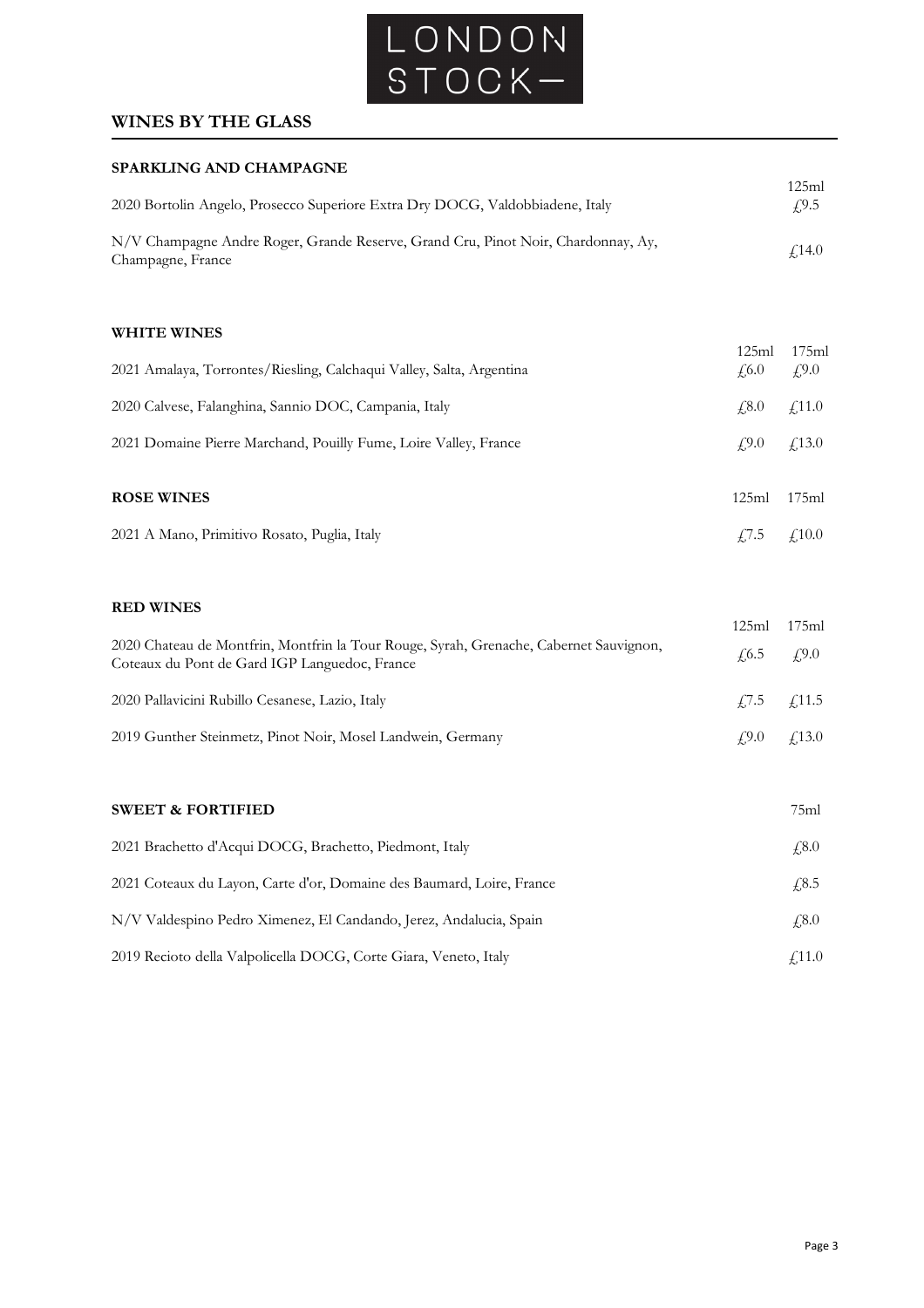

### **WINES BY THE GLASS**

#### **SPARKLING AND CHAMPAGNE**

| 2020 Bortolin Angelo, Prosecco Superiore Extra Dry DOCG, Valdobbiadene, Italy                          | 125ml<br>f9.5 |
|--------------------------------------------------------------------------------------------------------|---------------|
| N/V Champagne Andre Roger, Grande Reserve, Grand Cru, Pinot Noir, Chardonnay, Ay,<br>Champagne, France | f14.0         |
|                                                                                                        |               |

#### **WHITE WINES**

| 2021 Amalaya, Torrontes/Riesling, Calchaqui Valley, Salta, Argentina | 125ml<br>$\sqrt{6.0}$ | 175ml<br>$f_{\nu}^{9.0}$ |
|----------------------------------------------------------------------|-----------------------|--------------------------|
| 2020 Calvese, Falanghina, Sannio DOC, Campania, Italy                | $\sqrt{6.0}$          | $f_{.}11.0$              |
| 2021 Domaine Pierre Marchand, Pouilly Fume, Loire Valley, France     | $\angle 9.0$          | $f_{.}13.0$              |
| <b>ROSE WINES</b>                                                    | 125ml                 | 175ml                    |
| 2021 A Mano, Primitivo Rosato, Puglia, Italy                         | 4.7.5                 | $\angle 10.0$            |

#### **RED WINES**

| www.com<br>2020 Chateau de Montfrin, Montfrin la Tour Rouge, Syrah, Grenache, Cabernet Sauvignon,<br>Coteaux du Pont de Gard IGP Languedoc, France | 125ml<br>$\text{\textsterling}6.5$ $\text{\textsterling}9.0$ | 175ml |
|----------------------------------------------------------------------------------------------------------------------------------------------------|--------------------------------------------------------------|-------|
| 2020 Pallavicini Rubillo Cesanese, Lazio, Italy                                                                                                    | $\textit{f}$ , 7.5 $\textit{f}$ , 11.5                       |       |
| 2019 Gunther Steinmetz, Pinot Noir, Mosel Landwein, Germany                                                                                        | $f_{1}^{9.0}$ $f_{1}^{13.0}$                                 |       |

#### **SWEET & FORTIFIED** 75ml

| 2021 Brachetto d'Acqui DOCG, Brachetto, Piedmont, Italy               | 4,8.0         |
|-----------------------------------------------------------------------|---------------|
| 2021 Coteaux du Layon, Carte d'or, Domaine des Baumard, Loire, France | 4,8.5         |
| N/V Valdespino Pedro Ximenez, El Candando, Jerez, Andalucia, Spain    | $\sqrt{.8.0}$ |
| 2019 Recioto della Valpolicella DOCG, Corte Giara, Veneto, Italy      | $\angle 11.0$ |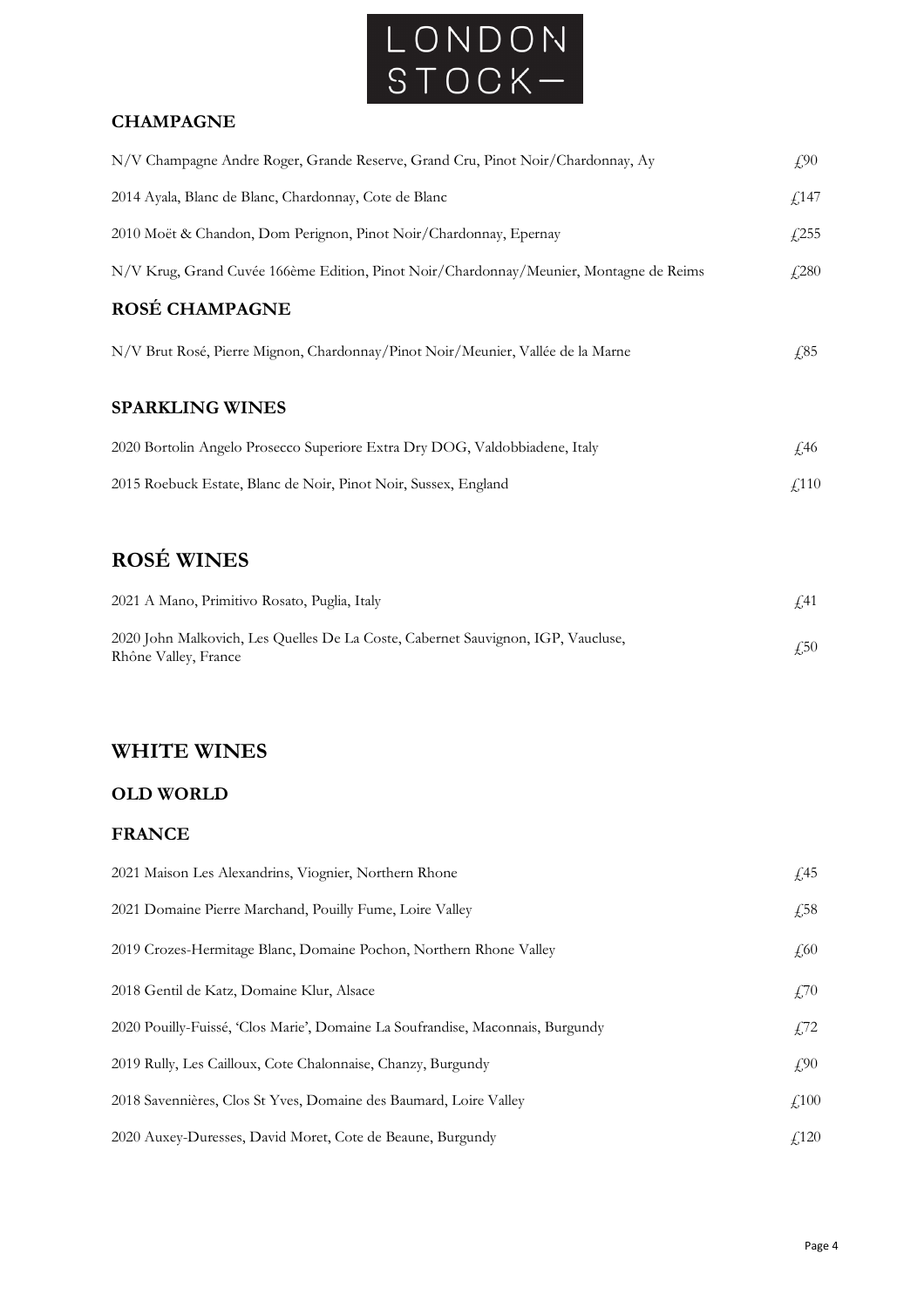

#### **CHAMPAGNE**

| N/V Champagne Andre Roger, Grande Reserve, Grand Cru, Pinot Noir/Chardonnay, Ay        | $f_{\cdot}$ 90 |
|----------------------------------------------------------------------------------------|----------------|
| 2014 Ayala, Blanc de Blanc, Chardonnay, Cote de Blanc                                  | f(147)         |
| 2010 Moët & Chandon, Dom Perignon, Pinot Noir/Chardonnay, Epernay                      | f(255)         |
| N/V Krug, Grand Cuvée 166ème Edition, Pinot Noir/Chardonnay/Meunier, Montagne de Reims | $f_{.}280$     |
| ROSÉ CHAMPAGNE                                                                         |                |
| N/V Brut Rosé, Pierre Mignon, Chardonnay/Pinot Noir/Meunier, Vallée de la Marne        | $\sqrt{65}$    |
| <b>SPARKLING WINES</b>                                                                 |                |
| 2020 Bortolin Angelo Prosecco Superiore Extra Dry DOG, Valdobbiadene, Italy            | £46            |
| 2015 Roebuck Estate, Blanc de Noir, Pinot Noir, Sussex, England                        | $\sqrt{110}$   |

# **ROSÉ WINES**

| 2021 A Mano, Primitivo Rosato, Puglia, Italy                                                             |      |
|----------------------------------------------------------------------------------------------------------|------|
| 2020 John Malkovich, Les Quelles De La Coste, Cabernet Sauvignon, IGP, Vaucluse,<br>Rhône Valley, France | 4.50 |

### **WHITE WINES**

#### **OLD WORLD**

#### **FRANCE**

| 2021 Maison Les Alexandrins, Viognier, Northern Rhone                          | $\sqrt{45}$     |
|--------------------------------------------------------------------------------|-----------------|
| 2021 Domaine Pierre Marchand, Pouilly Fume, Loire Valley                       | $\sqrt{58}$     |
| 2019 Crozes-Hermitage Blanc, Domaine Pochon, Northern Rhone Valley             | $\sqrt{60}$     |
| 2018 Gentil de Katz, Domaine Klur, Alsace                                      | $\angle 70$     |
| 2020 Pouilly-Fuissé, 'Clos Marie', Domaine La Soufrandise, Maconnais, Burgundy | $\sqrt{5}$ ,72  |
| 2019 Rully, Les Cailloux, Cote Chalonnaise, Chanzy, Burgundy                   | $f_{\rm s}$ ,90 |
| 2018 Savennières, Clos St Yves, Domaine des Baumard, Loire Valley              | $\sqrt{100}$    |
| 2020 Auxey-Duresses, David Moret, Cote de Beaune, Burgundy                     | f(120)          |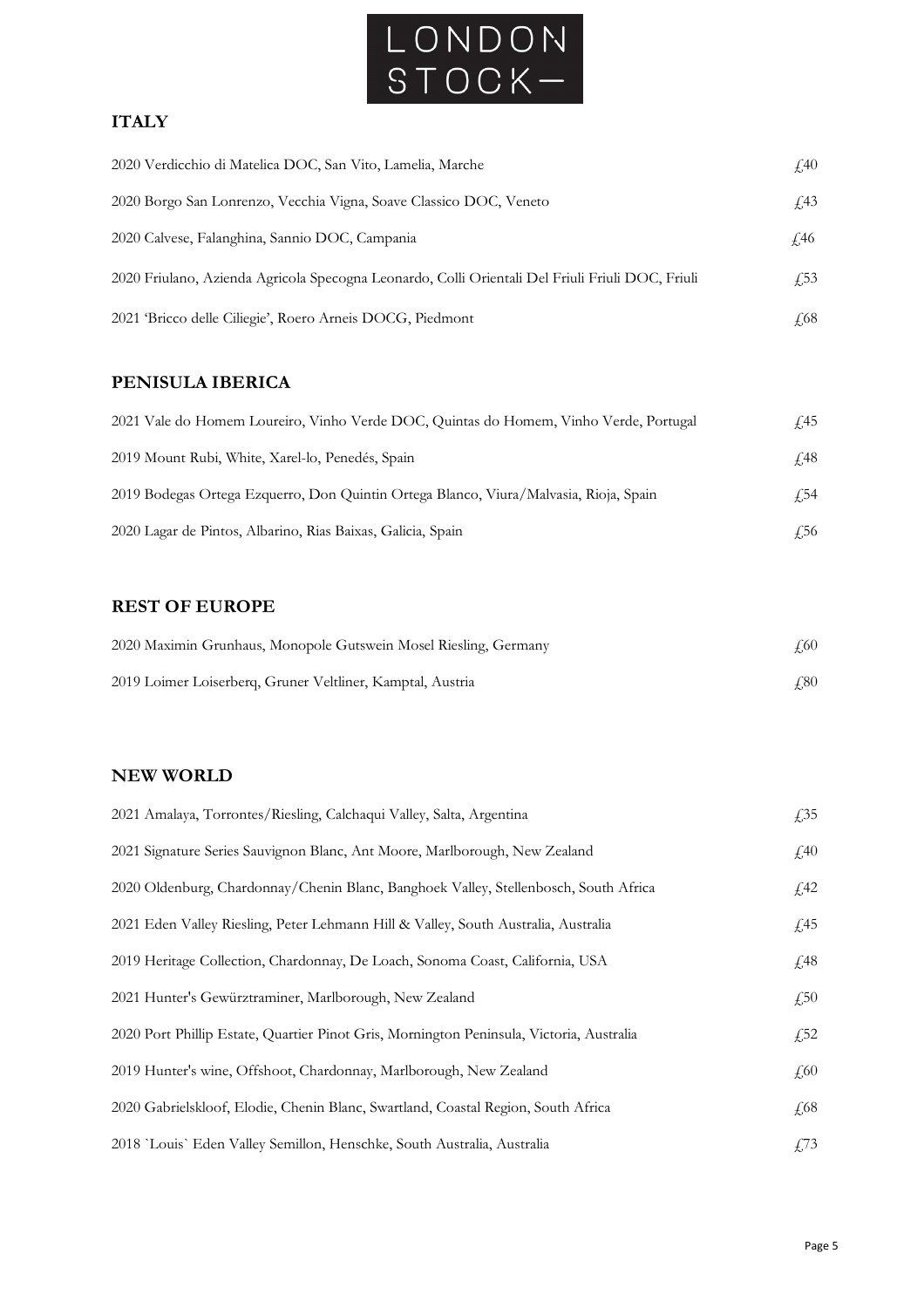

### **ITALY**

| 2020 Verdicchio di Matelica DOC, San Vito, Lamelia, Marche                                       | $\sqrt{40}$       |
|--------------------------------------------------------------------------------------------------|-------------------|
| 2020 Borgo San Lonrenzo, Vecchia Vigna, Soave Classico DOC, Veneto                               | f <sub>1</sub> 43 |
| 2020 Calvese, Falanghina, Sannio DOC, Campania                                                   | £,46              |
| 2020 Friulano, Azienda Agricola Specogna Leonardo, Colli Orientali Del Friuli Friuli DOC, Friuli | f.53              |
| 2021 Bricco delle Ciliegie', Roero Arneis DOCG, Piedmont                                         | £68               |

### **PENISULA IBERICA**

| 2021 Vale do Homem Loureiro, Vinho Verde DOC, Quintas do Homem, Vinho Verde, Portugal | £45         |
|---------------------------------------------------------------------------------------|-------------|
| 2019 Mount Rubi, White, Xarel-lo, Penedés, Spain                                      | <i>f</i> 48 |
| 2019 Bodegas Ortega Ezquerro, Don Quintin Ortega Blanco, Viura/Malvasia, Rioja, Spain | ∫54         |
| 2020 Lagar de Pintos, Albarino, Rias Baixas, Galicia, Spain                           | £56         |

### **REST OF EUROPE**

| 2020 Maximin Grunhaus, Monopole Gutswein Mosel Riesling, Germany | 4.60 |
|------------------------------------------------------------------|------|
| 2019 Loimer Loiserberg, Gruner Veltliner, Kamptal, Austria       | 4.80 |

### **NEW WORLD**

| 2021 Amalaya, Torrontes/Riesling, Calchaqui Valley, Salta, Argentina                     | $\sqrt{.}35$ |
|------------------------------------------------------------------------------------------|--------------|
| 2021 Signature Series Sauvignon Blanc, Ant Moore, Marlborough, New Zealand               | $\sqrt{40}$  |
| 2020 Oldenburg, Chardonnay/Chenin Blanc, Banghoek Valley, Stellenbosch, South Africa     | $\sqrt{42}$  |
| 2021 Eden Valley Riesling, Peter Lehmann Hill & Valley, South Australia, Australia       | $\sqrt{45}$  |
| 2019 Heritage Collection, Chardonnay, De Loach, Sonoma Coast, California, USA            | $\sqrt{48}$  |
| 2021 Hunter's Gewürztraminer, Marlborough, New Zealand                                   | $\sqrt{.50}$ |
| 2020 Port Phillip Estate, Quartier Pinot Gris, Mornington Peninsula, Victoria, Australia | $f{,}52$     |
| 2019 Hunter's wine, Offshoot, Chardonnay, Marlborough, New Zealand                       | $\sqrt{60}$  |
| 2020 Gabrielskloof, Elodie, Chenin Blanc, Swartland, Coastal Region, South Africa        | $\sqrt{68}$  |
| 2018 'Louis' Eden Valley Semillon, Henschke, South Australia, Australia                  | $\sqrt{.73}$ |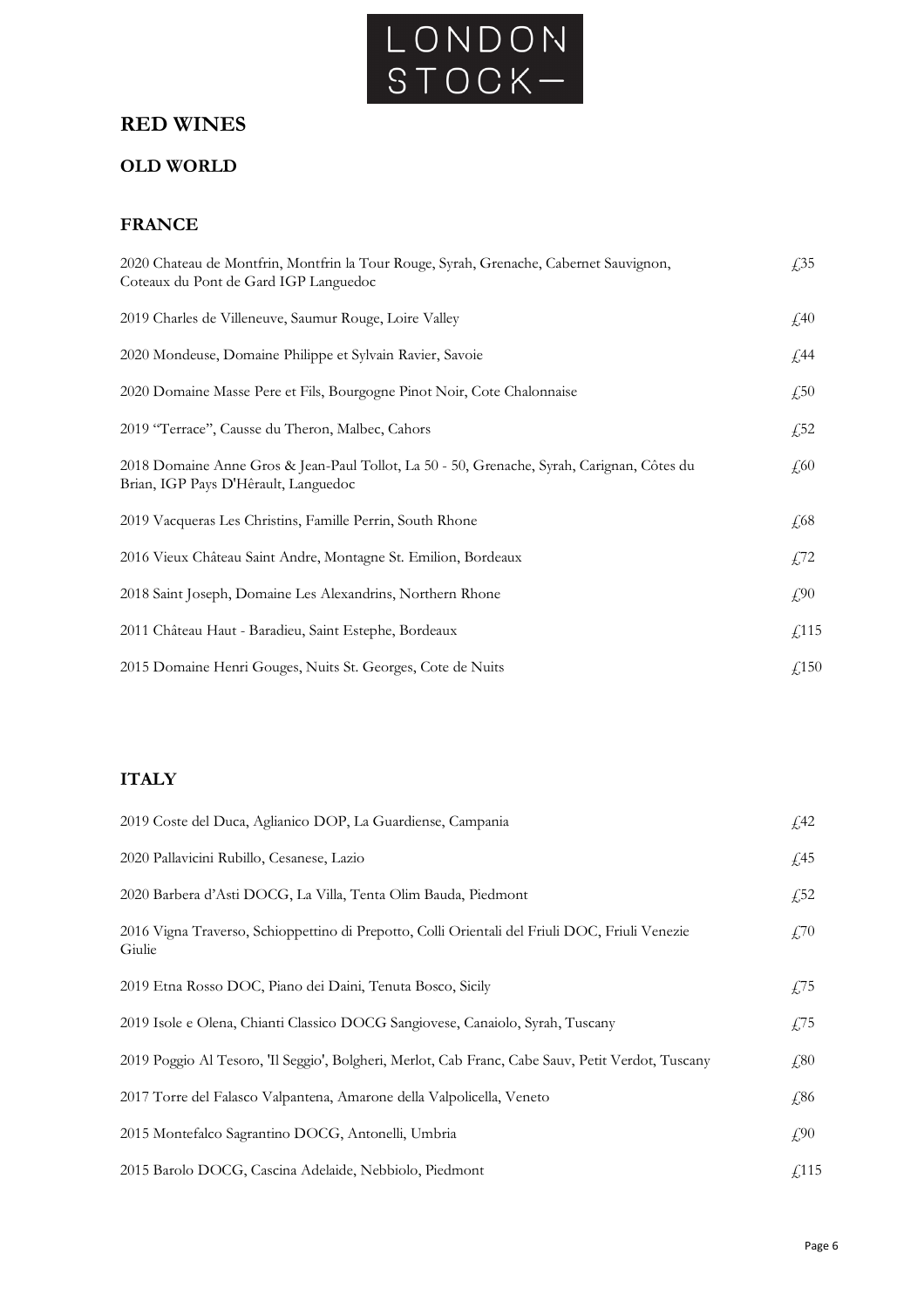

# **RED WINES**

### **OLD WORLD**

#### **FRANCE**

| 2020 Chateau de Montfrin, Montfrin la Tour Rouge, Syrah, Grenache, Cabernet Sauvignon,<br>Coteaux du Pont de Gard IGP Languedoc    | £35                       |
|------------------------------------------------------------------------------------------------------------------------------------|---------------------------|
| 2019 Charles de Villeneuve, Saumur Rouge, Loire Valley                                                                             | $\textcolor{blue}{f_240}$ |
| 2020 Mondeuse, Domaine Philippe et Sylvain Ravier, Savoie                                                                          | $\sqrt{44}$               |
| 2020 Domaine Masse Pere et Fils, Bourgogne Pinot Noir, Cote Chalonnaise                                                            | £,50                      |
| 2019 "Terrace", Causse du Theron, Malbec, Cahors                                                                                   | £,52                      |
| 2018 Domaine Anne Gros & Jean-Paul Tollot, La 50 - 50, Grenache, Syrah, Carignan, Côtes du<br>Brian, IGP Pays D'Hêrault, Languedoc | $\sqrt{60}$               |
| 2019 Vacqueras Les Christins, Famille Perrin, South Rhone                                                                          | $\sqrt{68}$               |
| 2016 Vieux Château Saint Andre, Montagne St. Emilion, Bordeaux                                                                     | $\sqrt{2}$                |
| 2018 Saint Joseph, Domaine Les Alexandrins, Northern Rhone                                                                         | $f_{\rm s}$ ,90           |
| 2011 Château Haut - Baradieu, Saint Estephe, Bordeaux                                                                              | $\text{\textsterling}115$ |
| 2015 Domaine Henri Gouges, Nuits St. Georges, Cote de Nuits                                                                        | f(150)                    |

### **ITALY**

| 2019 Coste del Duca, Aglianico DOP, La Guardiense, Campania                                              | f <sub>1</sub> 42                |
|----------------------------------------------------------------------------------------------------------|----------------------------------|
| 2020 Pallavicini Rubillo, Cesanese, Lazio                                                                | $\sqrt{45}$                      |
| 2020 Barbera d'Asti DOCG, La Villa, Tenta Olim Bauda, Piedmont                                           | £,52                             |
| 2016 Vigna Traverso, Schioppettino di Prepotto, Colli Orientali del Friuli DOC, Friuli Venezie<br>Giulie | $\textcolor{blue}{\cancel{1}}70$ |
| 2019 Etna Rosso DOC, Piano dei Daini, Tenuta Bosco, Sicily                                               | £75                              |
| 2019 Isole e Olena, Chianti Classico DOCG Sangiovese, Canaiolo, Syrah, Tuscany                           | £75                              |
| 2019 Poggio Al Tesoro, 'Il Seggio', Bolgheri, Merlot, Cab Franc, Cabe Sauv, Petit Verdot, Tuscany        | £80                              |
| 2017 Torre del Falasco Valpantena, Amarone della Valpolicella, Veneto                                    | £,86                             |
| 2015 Montefalco Sagrantino DOCG, Antonelli, Umbria                                                       | $f_{\rm s}$ ,90                  |
| 2015 Barolo DOCG, Cascina Adelaide, Nebbiolo, Piedmont                                                   | f(115)                           |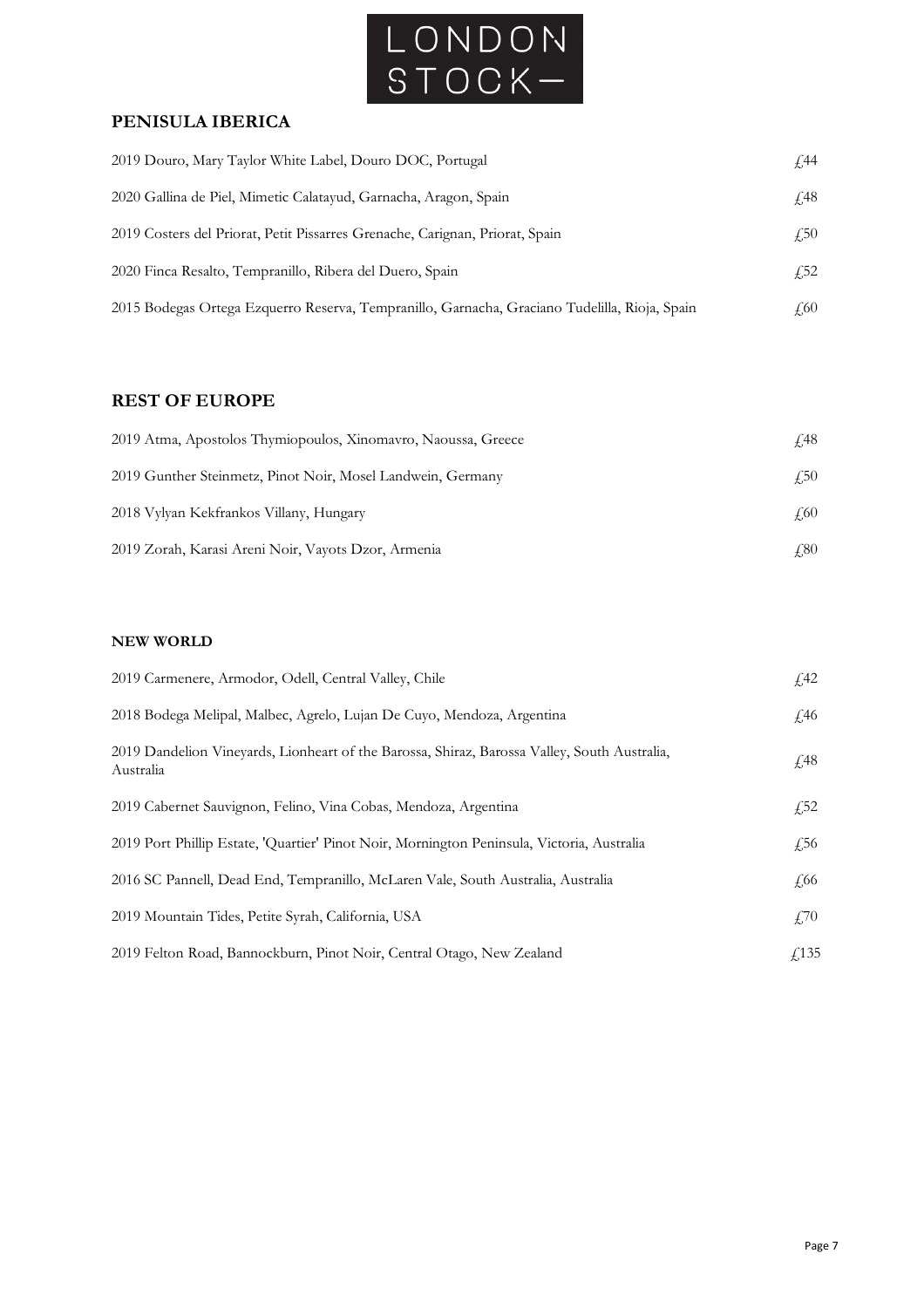

#### **PENISULA IBERICA**

| 2019 Douro, Mary Taylor White Label, Douro DOC, Portugal                                      | £,44        |
|-----------------------------------------------------------------------------------------------|-------------|
| 2020 Gallina de Piel, Mimetic Calatayud, Garnacha, Aragon, Spain                              | <i>f</i> 48 |
| 2019 Costers del Priorat, Petit Pissarres Grenache, Carignan, Priorat, Spain                  | $\sqrt{50}$ |
| 2020 Finca Resalto, Tempranillo, Ribera del Duero, Spain                                      | $\sqrt{52}$ |
| 2015 Bodegas Ortega Ezquerro Reserva, Tempranillo, Garnacha, Graciano Tudelilla, Rioja, Spain | 4.60        |

### **REST OF EUROPE**

| 2019 Atma, Apostolos Thymiopoulos, Xinomavro, Naoussa, Greece | £48         |
|---------------------------------------------------------------|-------------|
| 2019 Gunther Steinmetz, Pinot Noir, Mosel Landwein, Germany   | $\sqrt{50}$ |
| 2018 Vylyan Kekfrankos Villany, Hungary                       | £60         |
| 2019 Zorah, Karasi Areni Noir, Vayots Dzor, Armenia           | 4.80        |

#### **NEW WORLD**

| 2019 Carmenere, Armodor, Odell, Central Valley, Chile                                                     | f <sub>1</sub> 42 |
|-----------------------------------------------------------------------------------------------------------|-------------------|
| 2018 Bodega Melipal, Malbec, Agrelo, Lujan De Cuyo, Mendoza, Argentina                                    | $\sqrt{46}$       |
| 2019 Dandelion Vineyards, Lionheart of the Barossa, Shiraz, Barossa Valley, South Australia,<br>Australia | £48               |
| 2019 Cabernet Sauvignon, Felino, Vina Cobas, Mendoza, Argentina                                           | $f{,}52$          |
| 2019 Port Phillip Estate, 'Quartier' Pinot Noir, Mornington Peninsula, Victoria, Australia                | £56               |
| 2016 SC Pannell, Dead End, Tempranillo, McLaren Vale, South Australia, Australia                          | £66               |
| 2019 Mountain Tides, Petite Syrah, California, USA                                                        | $\angle 70$       |
| 2019 Felton Road, Bannockburn, Pinot Noir, Central Otago, New Zealand                                     | f(135)            |